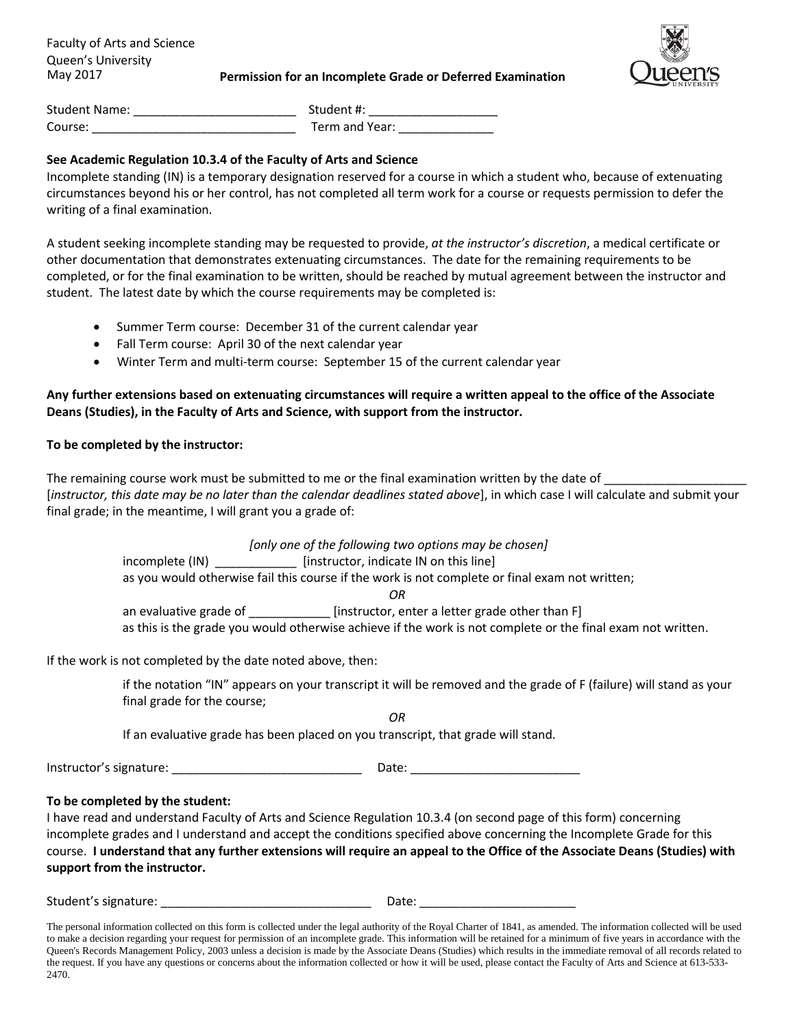**Permission for an Incomplete Grade or Deferred Examination**

| <b>Student Name:</b> | Student #:     |
|----------------------|----------------|
| Course:              | Term and Year: |

## **See Academic Regulation 10.3.4 of the Faculty of Arts and Science**

Incomplete standing (IN) is a temporary designation reserved for a course in which a student who, because of extenuating circumstances beyond his or her control, has not completed all term work for a course or requests permission to defer the writing of a final examination.

A student seeking incomplete standing may be requested to provide, *at the instructor's discretion*, a medical certificate or other documentation that demonstrates extenuating circumstances. The date for the remaining requirements to be completed, or for the final examination to be written, should be reached by mutual agreement between the instructor and student. The latest date by which the course requirements may be completed is:

- Summer Term course: December 31 of the current calendar year
- Fall Term course: April 30 of the next calendar year
- Winter Term and multi-term course: September 15 of the current calendar year

# **Any further extensions based on extenuating circumstances will require a written appeal to the office of the Associate Deans (Studies), in the Faculty of Arts and Science, with support from the instructor.**

## **To be completed by the instructor:**

The remaining course work must be submitted to me or the final examination written by the date of \_\_\_\_\_\_\_\_\_\_\_\_ [*instructor, this date may be no later than the calendar deadlines stated above*], in which case I will calculate and submit your final grade; in the meantime, I will grant you a grade of:

> *[only one of the following two options may be chosen]* incomplete (IN) \_\_\_\_\_\_\_\_\_\_\_\_ [instructor, indicate IN on this line] as you would otherwise fail this course if the work is not complete or final exam not written; *OR* an evaluative grade of \_\_\_\_\_\_\_\_\_\_\_\_\_ [instructor, enter a letter grade other than F] as this is the grade you would otherwise achieve if the work is not complete or the final exam not written.

If the work is not completed by the date noted above, then:

if the notation "IN" appears on your transcript it will be removed and the grade of F (failure) will stand as your final grade for the course;

If an evaluative grade has been placed on you transcript, that grade will stand.

Instructor's signature: \_\_\_\_\_\_\_\_\_\_\_\_\_\_\_\_\_\_\_\_\_\_\_\_\_\_\_\_ Date: \_\_\_\_\_\_\_\_\_\_\_\_\_\_\_\_\_\_\_\_\_\_\_\_\_

### **To be completed by the student:**

I have read and understand Faculty of Arts and Science Regulation 10.3.4 (on second page of this form) concerning incomplete grades and I understand and accept the conditions specified above concerning the Incomplete Grade for this course. **I understand that any further extensions will require an appeal to the Office of the Associate Deans (Studies) with support from the instructor.**

*OR*

Student's signature: \_\_\_\_\_\_\_\_\_\_\_\_\_\_\_\_\_\_\_\_\_\_\_\_\_\_\_\_\_\_\_ Date: \_\_\_\_\_\_\_\_\_\_\_\_\_\_\_\_\_\_\_\_\_\_\_

The personal information collected on this form is collected under the legal authority of the Royal Charter of 1841, as amended. The information collected will be used to make a decision regarding your request for permission of an incomplete grade. This information will be retained for a minimum of five years in accordance with the Queen's Records Management Policy, 2003 unless a decision is made by the Associate Deans (Studies) which results in the immediate removal of all records related to the request. If you have any questions or concerns about the information collected or how it will be used, please contact the Faculty of Arts and Science at 613-533-2470.